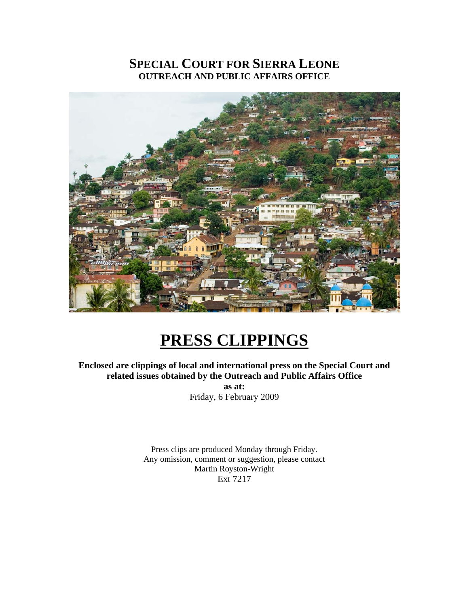## **SPECIAL COURT FOR SIERRA LEONE OUTREACH AND PUBLIC AFFAIRS OFFICE**



# **PRESS CLIPPINGS**

**Enclosed are clippings of local and international press on the Special Court and related issues obtained by the Outreach and Public Affairs Office as at:**  Friday, 6 February 2009

> Press clips are produced Monday through Friday. Any omission, comment or suggestion, please contact Martin Royston-Wright Ext 7217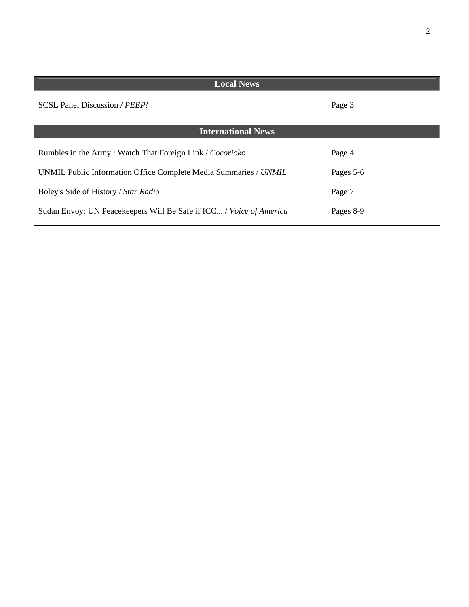| <b>Local News</b>                                                   |           |
|---------------------------------------------------------------------|-----------|
| SCSL Panel Discussion / PEEP!                                       | Page 3    |
| <b>International News</b>                                           |           |
| Rumbles in the Army: Watch That Foreign Link / Cocorioko            | Page 4    |
| UNMIL Public Information Office Complete Media Summaries / UNMIL    | Pages 5-6 |
| Boley's Side of History / Star Radio                                | Page 7    |
| Sudan Envoy: UN Peacekeepers Will Be Safe if ICC / Voice of America | Pages 8-9 |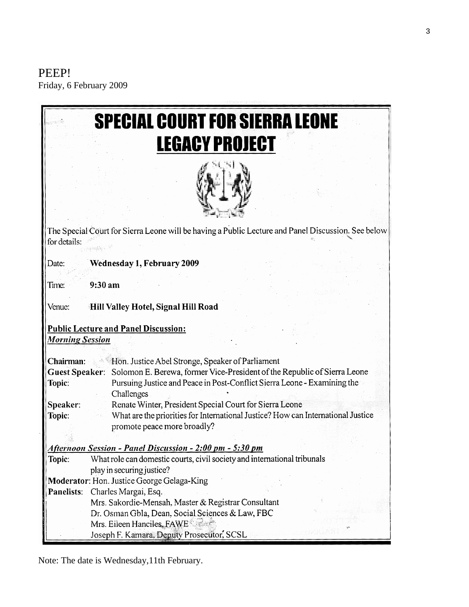PEEP! Friday, 6 February 2009

|                                                                                                   | <b>SPECIAL COURT FOR SIERRA LEONE</b>                                                                           |
|---------------------------------------------------------------------------------------------------|-----------------------------------------------------------------------------------------------------------------|
|                                                                                                   | <b>LEGACY PROJECT</b>                                                                                           |
|                                                                                                   |                                                                                                                 |
| for details:                                                                                      | The Special Court for Sierra Leone will be having a Public Lecture and Panel Discussion. See below              |
| Date:                                                                                             | Wednesday 1, February 2009                                                                                      |
| Time:                                                                                             | 9:30 am                                                                                                         |
| Venue:                                                                                            | Hill Valley Hotel, Signal Hill Road                                                                             |
|                                                                                                   | <b>Public Lecture and Panel Discussion:</b>                                                                     |
| <b>Morning Session</b>                                                                            |                                                                                                                 |
| Chairman:                                                                                         | Hon. Justice Abel Stronge, Speaker of Parliament                                                                |
| Solomon E. Berewa, former Vice-President of the Republic of Sierra Leone<br><b>Guest Speaker:</b> |                                                                                                                 |
| Topic:                                                                                            | Pursuing Justice and Peace in Post-Conflict Sierra Leone - Examining the                                        |
|                                                                                                   | Challenges                                                                                                      |
| Speaker:                                                                                          | Renate Winter, President Special Court for Sierra Leone                                                         |
| Topic:                                                                                            | What are the priorities for International Justice? How can International Justice<br>promote peace more broadly? |
|                                                                                                   |                                                                                                                 |
| Afternoon Session - Panel Discussion - 2:00 pm - 5:30 pm                                          |                                                                                                                 |
| Topic:                                                                                            | What role can domestic courts, civil society and international tribunals                                        |
|                                                                                                   | play in securing justice?                                                                                       |
|                                                                                                   | Moderator: Hon. Justice George Gelaga-King                                                                      |
| Panelists:                                                                                        | Charles Margai, Esq.                                                                                            |
|                                                                                                   | Mrs. Sakordie-Mensah, Master & Registrar Consultant                                                             |
|                                                                                                   | Dr. Osman Gbla, Dean, Social Sciences & Law, FBC                                                                |
|                                                                                                   | Mrs. Eileen Hanciles, FAWE                                                                                      |
|                                                                                                   | Joseph F. Kamara, Deputy Prosecutor, SCSL                                                                       |

Note: The date is Wednesday,11th February.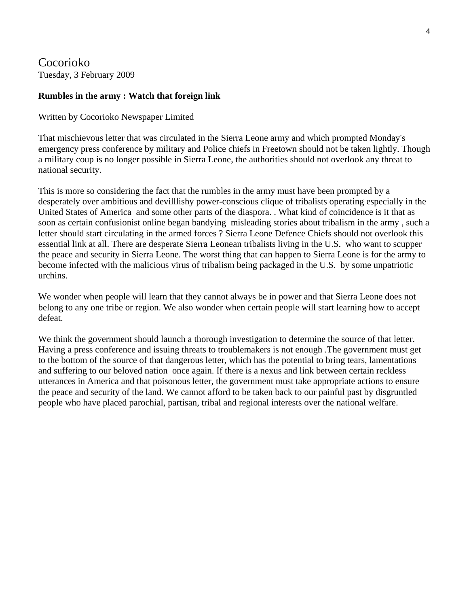Cocorioko Tuesday, 3 February 2009

#### **Rumbles in the army : Watch that foreign link**

Written by Cocorioko Newspaper Limited

That mischievous letter that was circulated in the Sierra Leone army and which prompted Monday's emergency press conference by military and Police chiefs in Freetown should not be taken lightly. Though a military coup is no longer possible in Sierra Leone, the authorities should not overlook any threat to national security.

This is more so considering the fact that the rumbles in the army must have been prompted by a desperately over ambitious and devilllishy power-conscious clique of tribalists operating especially in the United States of America and some other parts of the diaspora. . What kind of coincidence is it that as soon as certain confusionist online began bandying misleading stories about tribalism in the army , such a letter should start circulating in the armed forces ? Sierra Leone Defence Chiefs should not overlook this essential link at all. There are desperate Sierra Leonean tribalists living in the U.S. who want to scupper the peace and security in Sierra Leone. The worst thing that can happen to Sierra Leone is for the army to become infected with the malicious virus of tribalism being packaged in the U.S. by some unpatriotic urchins.

We wonder when people will learn that they cannot always be in power and that Sierra Leone does not belong to any one tribe or region. We also wonder when certain people will start learning how to accept defeat.

We think the government should launch a thorough investigation to determine the source of that letter. Having a press conference and issuing threats to troublemakers is not enough .The government must get to the bottom of the source of that dangerous letter, which has the potential to bring tears, lamentations and suffering to our beloved nation once again. If there is a nexus and link between certain reckless utterances in America and that poisonous letter, the government must take appropriate actions to ensure the peace and security of the land. We cannot afford to be taken back to our painful past by disgruntled people who have placed parochial, partisan, tribal and regional interests over the national welfare.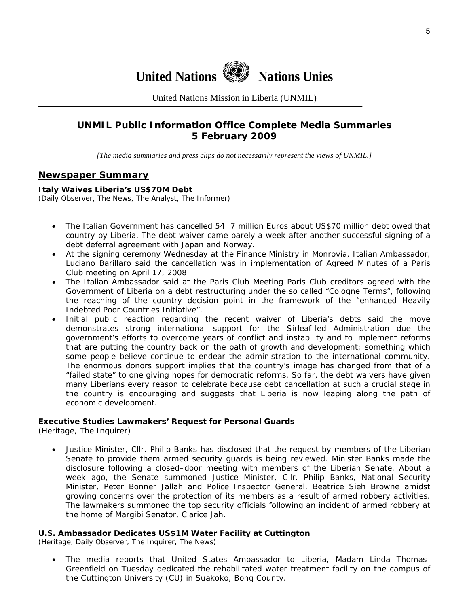

United Nations Mission in Liberia (UNMIL)

## **UNMIL Public Information Office Complete Media Summaries 5 February 2009**

*[The media summaries and press clips do not necessarily represent the views of UNMIL.]* 

#### **Newspaper Summary**

#### **Italy Waives Liberia's US\$70M Debt**

(Daily Observer, The News, The Analyst, The Informer)

- The Italian Government has cancelled 54. 7 million Euros about US\$70 million debt owed that country by Liberia. The debt waiver came barely a week after another successful signing of a debt deferral agreement with Japan and Norway.
- At the signing ceremony Wednesday at the Finance Ministry in Monrovia, Italian Ambassador, Luciano Barillaro said the cancellation was in implementation of Agreed Minutes of a Paris Club meeting on April 17, 2008.
- The Italian Ambassador said at the Paris Club Meeting Paris Club creditors agreed with the Government of Liberia on a debt restructuring under the so called "Cologne Terms", following the reaching of the country decision point in the framework of the "enhanced Heavily Indebted Poor Countries Initiative".
- Initial public reaction regarding the recent waiver of Liberia's debts said the move demonstrates strong international support for the Sirleaf-led Administration due the government's efforts to overcome years of conflict and instability and to implement reforms that are putting the country back on the path of growth and development; something which some people believe continue to endear the administration to the international community. The enormous donors support implies that the country's image has changed from that of a "failed state" to one giving hopes for democratic reforms. So far, the debt waivers have given many Liberians every reason to celebrate because debt cancellation at such a crucial stage in the country is encouraging and suggests that Liberia is now leaping along the path of economic development.

#### **Executive Studies Lawmakers' Request for Personal Guards**

(Heritage, The Inquirer)

• Justice Minister, Cllr. Philip Banks has disclosed that the request by members of the Liberian Senate to provide them armed security guards is being reviewed. Minister Banks made the disclosure following a closed–door meeting with members of the Liberian Senate. About a week ago, the Senate summoned Justice Minister, Cllr. Philip Banks, National Security Minister, Peter Bonner Jallah and Police Inspector General, Beatrice Sieh Browne amidst growing concerns over the protection of its members as a result of armed robbery activities. The lawmakers summoned the top security officials following an incident of armed robbery at the home of Margibi Senator, Clarice Jah.

#### **U.S. Ambassador Dedicates US\$1M Water Facility at Cuttington**

(Heritage, Daily Observer, The Inquirer, The News)

• The media reports that United States Ambassador to Liberia, Madam Linda Thomas-Greenfield on Tuesday dedicated the rehabilitated water treatment facility on the campus of the Cuttington University (CU) in Suakoko, Bong County.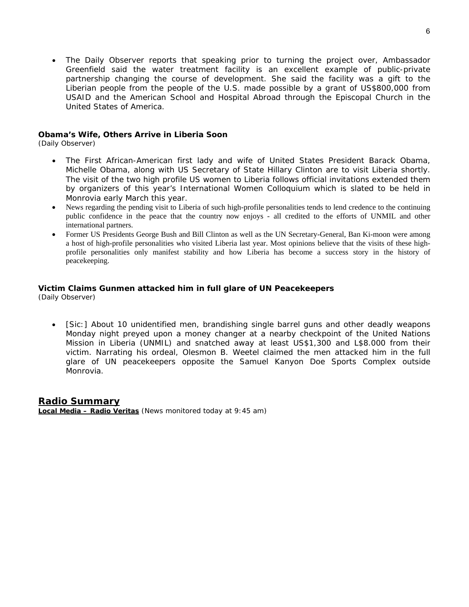• The Daily Observer reports that speaking prior to turning the project over, Ambassador Greenfield said the water treatment facility is an excellent example of public-private partnership changing the course of development. She said the facility was a gift to the Liberian people from the people of the U.S. made possible by a grant of US\$800,000 from USAID and the American School and Hospital Abroad through the Episcopal Church in the United States of America.

#### **Obama's Wife, Others Arrive in Liberia Soon**

(Daily Observer)

- The First African-American first lady and wife of United States President Barack Obama, Michelle Obama, along with US Secretary of State Hillary Clinton are to visit Liberia shortly. The visit of the two high profile US women to Liberia follows official invitations extended them by organizers of this year's International Women Colloquium which is slated to be held in Monrovia early March this year.
- News regarding the pending visit to Liberia of such high-profile personalities tends to lend credence to the continuing public confidence in the peace that the country now enjoys - all credited to the efforts of UNMIL and other international partners.
- Former US Presidents George Bush and Bill Clinton as well as the UN Secretary-General, Ban Ki-moon were among a host of high-profile personalities who visited Liberia last year. Most opinions believe that the visits of these highprofile personalities only manifest stability and how Liberia has become a success story in the history of peacekeeping.

#### **Victim Claims Gunmen attacked him in full glare of UN Peacekeepers**

(Daily Observer)

• [Sic:] About 10 unidentified men, brandishing single barrel guns and other deadly weapons Monday night preyed upon a money changer at a nearby checkpoint of the United Nations Mission in Liberia (UNMIL) and snatched away at least US\$1,300 and L\$8.000 from their victim. Narrating his ordeal, Olesmon B. Weetel claimed the men attacked him in the full glare of UN peacekeepers opposite the Samuel Kanyon Doe Sports Complex outside Monrovia.

#### **Radio Summary**

**Local Media – Radio Veritas** *(News monitored today at 9:45 am)*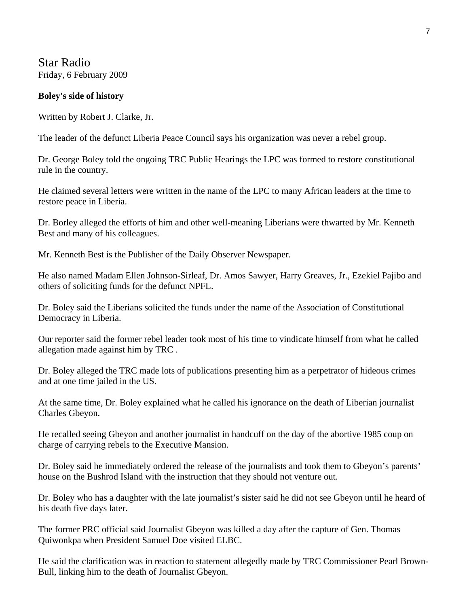Star Radio Friday, 6 February 2009

#### **Boley's side of history**

Written by Robert J. Clarke, Jr.

The leader of the defunct Liberia Peace Council says his organization was never a rebel group.

Dr. George Boley told the ongoing TRC Public Hearings the LPC was formed to restore constitutional rule in the country.

He claimed several letters were written in the name of the LPC to many African leaders at the time to restore peace in Liberia.

Dr. Borley alleged the efforts of him and other well-meaning Liberians were thwarted by Mr. Kenneth Best and many of his colleagues.

Mr. Kenneth Best is the Publisher of the Daily Observer Newspaper.

He also named Madam Ellen Johnson-Sirleaf, Dr. Amos Sawyer, Harry Greaves, Jr., Ezekiel Pajibo and others of soliciting funds for the defunct NPFL.

Dr. Boley said the Liberians solicited the funds under the name of the Association of Constitutional Democracy in Liberia.

Our reporter said the former rebel leader took most of his time to vindicate himself from what he called allegation made against him by TRC .

Dr. Boley alleged the TRC made lots of publications presenting him as a perpetrator of hideous crimes and at one time jailed in the US.

At the same time, Dr. Boley explained what he called his ignorance on the death of Liberian journalist Charles Gbeyon.

He recalled seeing Gbeyon and another journalist in handcuff on the day of the abortive 1985 coup on charge of carrying rebels to the Executive Mansion.

Dr. Boley said he immediately ordered the release of the journalists and took them to Gbeyon's parents' house on the Bushrod Island with the instruction that they should not venture out.

Dr. Boley who has a daughter with the late journalist's sister said he did not see Gbeyon until he heard of his death five days later.

The former PRC official said Journalist Gbeyon was killed a day after the capture of Gen. Thomas Quiwonkpa when President Samuel Doe visited ELBC.

He said the clarification was in reaction to statement allegedly made by TRC Commissioner Pearl Brown-Bull, linking him to the death of Journalist Gbeyon.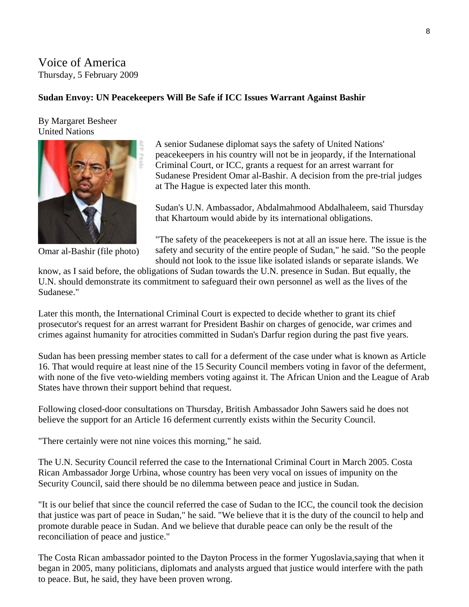## Voice of America Thursday, 5 February 2009

### **Sudan Envoy: UN Peacekeepers Will Be Safe if ICC Issues Warrant Against Bashir**

By Margaret Besheer United Nations



Omar al-Bashir (file photo)

A senior Sudanese diplomat says the safety of United Nations' peacekeepers in his country will not be in jeopardy, if the International Criminal Court, or ICC, grants a request for an arrest warrant for Sudanese President Omar al-Bashir. A decision from the pre-trial judges at The Hague is expected later this month.

Sudan's U.N. Ambassador, Abdalmahmood Abdalhaleem, said Thursday that Khartoum would abide by its international obligations.

"The safety of the peacekeepers is not at all an issue here. The issue is the safety and security of the entire people of Sudan," he said. "So the people should not look to the issue like isolated islands or separate islands. We

know, as I said before, the obligations of Sudan towards the U.N. presence in Sudan. But equally, the U.N. should demonstrate its commitment to safeguard their own personnel as well as the lives of the Sudanese."

Later this month, the International Criminal Court is expected to decide whether to grant its chief prosecutor's request for an arrest warrant for President Bashir on charges of genocide, war crimes and crimes against humanity for atrocities committed in Sudan's Darfur region during the past five years.

Sudan has been pressing member states to call for a deferment of the case under what is known as Article 16. That would require at least nine of the 15 Security Council members voting in favor of the deferment, with none of the five veto-wielding members voting against it. The African Union and the League of Arab States have thrown their support behind that request.

Following closed-door consultations on Thursday, British Ambassador John Sawers said he does not believe the support for an Article 16 deferment currently exists within the Security Council.

"There certainly were not nine voices this morning," he said.

The U.N. Security Council referred the case to the International Criminal Court in March 2005. Costa Rican Ambassador Jorge Urbina, whose country has been very vocal on issues of impunity on the Security Council, said there should be no dilemma between peace and justice in Sudan.

"It is our belief that since the council referred the case of Sudan to the ICC, the council took the decision that justice was part of peace in Sudan," he said. "We believe that it is the duty of the council to help and promote durable peace in Sudan. And we believe that durable peace can only be the result of the reconciliation of peace and justice."

The Costa Rican ambassador pointed to the Dayton Process in the former Yugoslavia,saying that when it began in 2005, many politicians, diplomats and analysts argued that justice would interfere with the path to peace. But, he said, they have been proven wrong.